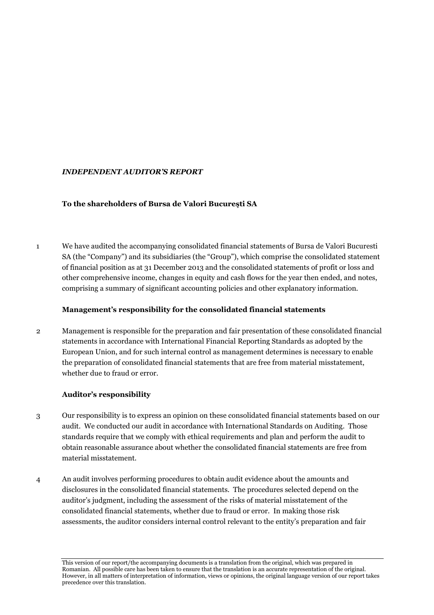# *INDEPENDENT AUDITOR'S REPORT*

## **To the shareholders of Bursa de Valori Bucureşti SA**

1 We have audited the accompanying consolidated financial statements of Bursa de Valori Bucuresti SA (the "Company") and its subsidiaries (the "Group"), which comprise the consolidated statement of financial position as at 31 December 2013 and the consolidated statements of profit or loss and other comprehensive income, changes in equity and cash flows for the year then ended, and notes, comprising a summary of significant accounting policies and other explanatory information.

## **Management's responsibility for the consolidated financial statements**

2 Management is responsible for the preparation and fair presentation of these consolidated financial statements in accordance with International Financial Reporting Standards as adopted by the European Union, and for such internal control as management determines is necessary to enable the preparation of consolidated financial statements that are free from material misstatement, whether due to fraud or error.

# **Auditor's responsibility**

- 3 Our responsibility is to express an opinion on these consolidated financial statements based on our audit. We conducted our audit in accordance with International Standards on Auditing. Those standards require that we comply with ethical requirements and plan and perform the audit to obtain reasonable assurance about whether the consolidated financial statements are free from material misstatement.
- 4 An audit involves performing procedures to obtain audit evidence about the amounts and disclosures in the consolidated financial statements. The procedures selected depend on the auditor's judgment, including the assessment of the risks of material misstatement of the consolidated financial statements, whether due to fraud or error. In making those risk assessments, the auditor considers internal control relevant to the entity's preparation and fair

This version of our report/the accompanying documents is a translation from the original, which was prepared in Romanian. All possible care has been taken to ensure that the translation is an accurate representation of the original. However, in all matters of interpretation of information, views or opinions, the original language version of our report takes precedence over this translation.